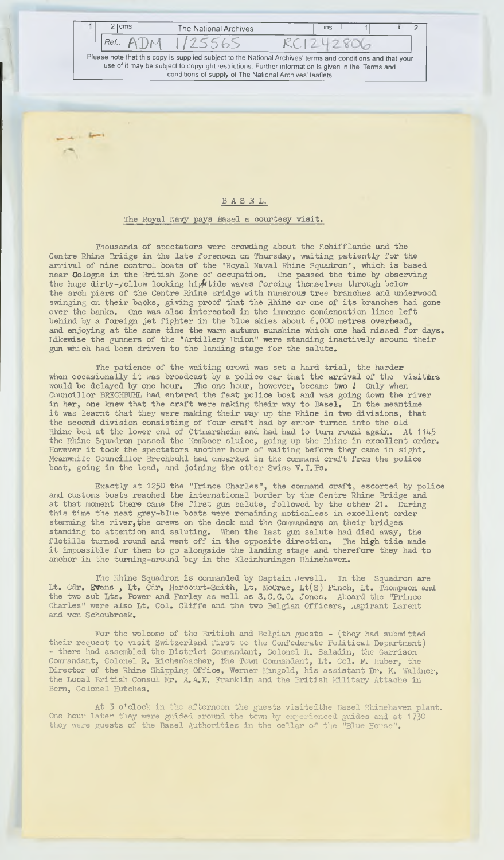**2** | cms The National Archives | ins I 1 | 2 *Ref:* AD M *\/155bS KC\* 2 801 **Please note that this copy is supplied subject to the National Archives' terms and conditions and that your** use of it may be subject to copyright restrictions. Further information is given in the Terms and **conditions of supply of The National Archives' leaflets**

## **BASEL.**

## The Royal Navy pays Basel a courtesy visit.

Thousands of spectators were crowding about the Schifflande and the Centre Rhine Bridge in the late forenoon on Thursday, waiting patiently for the arrival of nine control boats of the 'Royal Naval Rhine Squadron', which is based near Cologne in the British Zone of occupation. One passed the time by observing the huge dirty-yellow looking hightide waves forcing themselves through below the arch piers of the Centre Rhine Bridge with numerous tree branches and underwood swinging on their backs, giving proof that the Rhine or one of its branches had gone over the banks. One was also interested in the immense condensation lines left behind by a foreign jet fighter in the blue skies about 6.000 metres overhead, and enjoying at the same time the warm autumn sunshine which one had missed for days. Likewise the gunners of the "Artillery Union" were standing inactively around their gun which had been driven to the landing stage for the salute.

The patience of the waiting crowd was set a hard trial, the harder when occasionally it was broadcast by a police car that the arrival of the visitors would be delayed by one hour. The one hour, however, became two *!* Only when Councillor BKECHBUHL had entered the fast police boat and was going down the river in her, one knew that the craft were making their way to Basel. In the meantime it was learnt that they were making their way up the Rhine in two divisions, that the second division consisting of four craft had by error turned into the old Rhine bed at the lower end of Ottmarsheim and had had to turn round again. At 1145 the Rhine Squadron passed the Kembser sluice, going up the Rhine in excellent order. However it took the spectators another how- of waiting before they came in sight. Meanwhile Councillor Brechbuhl had embarked in the command craft from the police boat, going in the lead, and joining the other Swiss V.I.Ps.

Exactly at 1250 the "Prince Charles", the command craft, escorted by police and customs boats reached the international border by the Centre Rhine Bridge and at that moment there came the first gun salute, followed by the other 21. During this time the neat grey-blue boats were remaining motionless in excellent order stemming the river, the crews on the deck and the Commanders on their bridges standing to attention and saluting. IVhen the last gun salute had died away, the flotilla turned round and went off in the opposite direction. The high tide made it impossible for them to go alongside the landing stage and therefore they had to anchor in the tuming-around bay in the Kleinhuningen Rhinehaven.

The Rhine Squadron is commanded by Captain Jewell. In the Squadron are Lt. Cdr. Evans , Lt. Cdr. Harcourt-Smith, Lt. McCrae, Lt(S) Pinch, Lt. Thompson and the two sub Lts. Rower and Parley as well as S.C.C.O. Jones. Aboard the "Prince Charles" were also Lt. Col. Cliffe and the two Belgian Officers, Aspirant Larent and von Schoubroek.

For the welcome of the British and Belgian guests - (they had submitted their request to visit Switzerland first to the Confederate political Department) - there had assembled the District Commandant, Colonel R. Saladin, the Garrison Commandant, Colonel R. Richenbacher, the Town Commandant, Lt. Col. P. Huber, the Director of the Rhine Shipping Office, Werner Mangold, his assistant Dr. K. Waldner, the Local British Consul Mr. A. A.E. Franklin and the British Military Attache in Bern, Colonel Hutches.

At 3 o'clock in the afternoon the guests visitedthe Basel Rhinehaven plant. One hour later they were guided around the town by experienced guides and at 1730 they *were* guests of the Basel Authorities in the cellar of the "Blue House".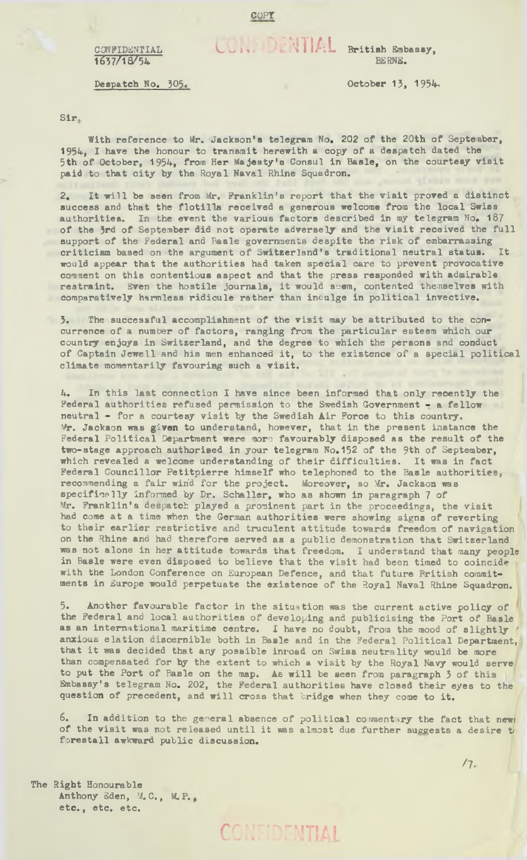## $C_{\text{max}}$  :  $\text{W}$   $\text{A}$  British Embassy,

BERNE.

Despatch No. 305 October 13, 1954.

**CONFIDENTIAL** 1657/18/54

Sir,

With reference to Mr. Jackson's telegram No. 202 of the 20th of September, 1954, I have the honour to transmit herewith a copy of a despatch dated the 5th of October, 1954, from Her Majesty's Consul in Basle, on the courtesy visit paid to that city by the Royal Naval Rhine Squadron.

2. It will be seen from Mr. Franklin's report that the visit proved a distinct success and that the flotilla received a generous welcome from the local Swiss authorities. In the event the various factors described in my telegram No. 187 of the 3rd of September did not operate adversely and the visit received the full support of the Federal and Basle governments despite the risk of embarrassing criticism based on the argument of Switzerland's traditional neutral status. would appear that the authorities had taken special care to prevent provocative comment on this contentious aspect and that the press responded with admirable restraint. Even the hostile journals, it would seem, contented themselves with comparatively harmless ridicule rather than inculge in political invective.

3. The successful accomplishment of the visit may be attributed to the concurrence of a number of factors, ranging from the particular esteem which our country enjoys in Switzerland, and the degree to which the persons and conduct of Captain Jewell and his men enhanced it, to the existence of a special political climate momentarily favouring such a visit.

4. In this last connection I have since been informed that only recently the Federal authorities refused permission to the Swedish Government - a fellow neutral - for a courtesy visit by the Swedish Air Force to this country. Mr. Jackson was given to understand, however, that in the present instance the Federal Political Department were more favourably disposed as the result of the two-stage approach authorised in your telegram No.152 of the 9th of September, which revealed a welcome understanding of their difficulties. It was in fact Federal Councillor Petitpierre himself who telephoned to the Basle authorities, recommending a fair win'd for the project. Moreover, so Mr. Jackson was specifically informed by Dr. Schaller, who as shown in paragraph 7 of Mr. Franklin's despatch played a prominent part in the proceedings, the visit had come at a time when the German authorities were showing signs of reverting to their earlier restrictive and truculent attitude towards freedom of navigation on the Rhine and had therefore served as a public demonstration that Switzerland was not alone in her attitude towards that freedom. I understand that many people in Basle were even disposed to believe that the visit had been timed to coincide with the London Conference on European Defence, and that future British commitments in Europe would perpetuate the existence of the Royal Naval Rhine Squadron.

5. Another favourable factor in the situation was the current active policy of the Federal and local authorities of developing and publicising the Port of Basle as an international maritime centre. I have no doubt, from the mood of slightly anxious elation discernible both in Basle and in the Federal Political Department, that it was decided that any possible inroad on Swiss neutrality would be more than compensated for by the extent to which a visit by the Royal Navy would serve to put the Port of Basle on the map. As will be seen from paragraph 3 of this Embassy's telegram No. 202, the Federal authorities have closed their eyes to the question of precedent, and will cross that bridge when they come to it.

6. In addition to the general absence of political commentary the fact that new) of the visit was not released until it was almost due further suggests a desire ti forestall awkward public discussion.

ONFIDENTIAL

The Right Honourable Anthony Sden, M. C., M. P. etc., etc. etc.

**/ 7.**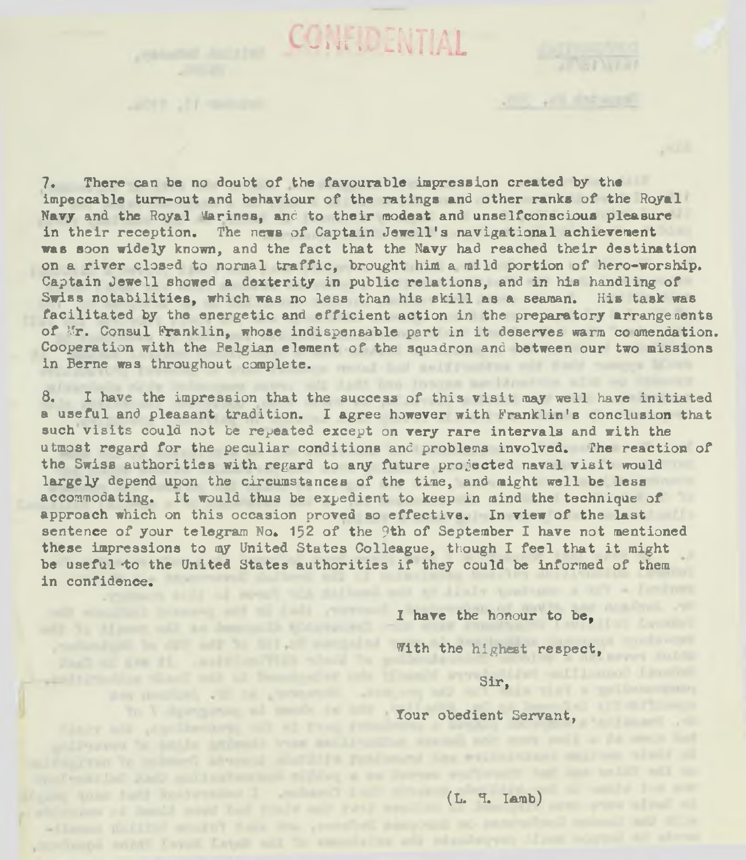7. There can he no doubt of the favourable impression created by the impeccable turn-out and behaviour of the ratings and other ranks of the Royal Navy and the Royal 'Marines, and to their modest and unselfconscious pleasure in their reception. The news of Captain Jewell's navigational achievement was soon widely known, and the fact that the Navy had reached their destination on a river closed to normal traffic, brought him a mild portion of hero-worship. Captain Jewell showed a dexterity in public relations, and in his handling of Swiss notabilities, which was no less than his skill as a seaman. His task was facilitated by the energetic and efficient action in the preparatory arrangements of Mr. Consul Franklin, whose indispensable part in it deserves warm co omendation. Cooperation with the Belgian element of the squadron and between our two missions in Berne was throughout complete.

**- n r i ^**

8. I have the impression that the success of this visit may well have initiated a useful and pleasant tradition. I agree however with Franklin's conclusion that such visits could not be repeated except on very rare intervals and with the utmost regard for the peculiar conditions and problems involved. The reaction of the Swiss authorities with regard to any future projected naval visit would largely depend upon the circumstances of the time, and might well be less accommodating. It would thus be expedient to keep in mind the technique of approach which on this occasion proved so effective. In view of the last sentence of your telegram No. 152 of the 9th of September I have not mentioned these impressions to my United States Colleague, though I feel that it might be useful to the United States authorities if they could be informed of them in confidence.

contact and the state soft for fiftee.

day it will be the child

of Longitude Deferred and the first time provided analysis and the

specificant month flavor flavor and the seconds for add releasing on them course

I have the honour to be, With the highest respect,

**Control of Manufacturer** 

Sir,

Tour obedient Servant,

(L. 1. Iamb)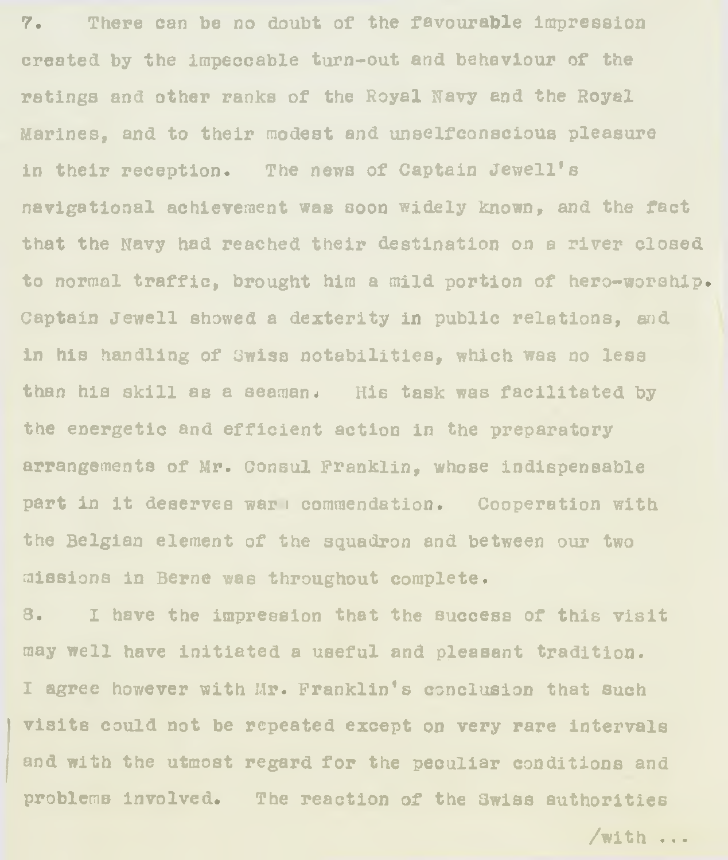7. There can be no doubt of the favourable Impression created by the impeccable turn-out and behaviour of the ratings and other ranks of the Royal Navy end the Royal Marines, and to their modest and unselfconscious pleasure in their reception. The news of Captain Jewell's navigational achievement was soon widely known, and the fact that the Navy had reached their destination on a river closed to **normal** traffic, brought him a mild portion of hero-worship. Captain Jewell showed a dexterity in public relations, and in his handling of Swiss notabilities, which was no less than his skill as a seaman. His task was facilitated by the energetic and efficient action in the preparatory arrangements of Mr. consul Franklin, whose indispensable part in it deserves war i commendation. Cooperation with the Belgian element of the squadron and between our two missions in Berne was throughout complete.

8. I have the impression that the success of this visit may well have initiated a useful and pleasant tradition. I agree however with Mr. Franklin's conclusion that such visits could not be repeated except on very rare intervals and with the utmost regard for the peculiar conditions and problems involved. The reaction of the Swiss authorities

/with ..•